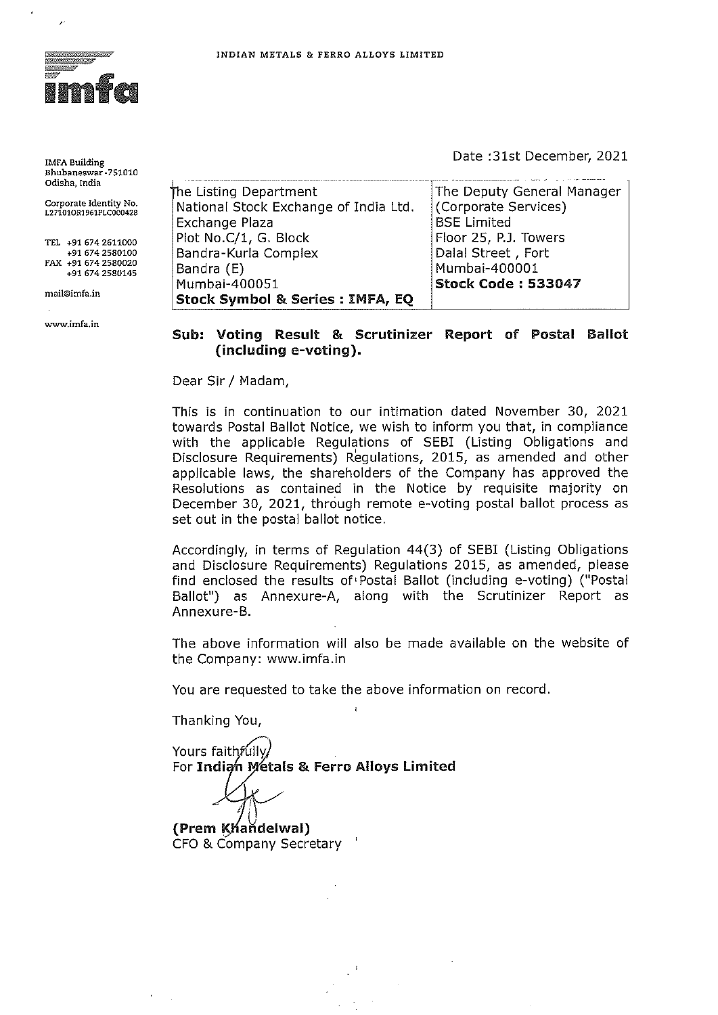

**IMFA Building Bhubaneswar -751010 Odisha, India** 

**Corporate Identity No. L271010RJ961PLC000428** 

**TEL +91 674 2611000 +91 674 2580100 FAX +91 674 2580020 +91 674 2580145** 

**mail@imfa.in** 

**www.imfa.in** 

Date :31st December, 2021

| The Listing Department                      | The Deputy General Manager |
|---------------------------------------------|----------------------------|
| National Stock Exchange of India Ltd.       | (Corporate Services)       |
| Exchange Plaza                              | <b>BSE</b> Limited         |
| Plot No.C/1, G. Block                       | Floor 25, P.J. Towers      |
| Bandra-Kurla Complex                        | Dalal Street, Fort         |
| Bandra (E)                                  | Mumbai-400001              |
| Mumbai-400051                               | <b>Stock Code: 533047</b>  |
| <b>Stock Symbol &amp; Series : IMFA, EQ</b> |                            |

**Sub: Voting Result & Scrutinizer Report of Postal Ballot (including e-voting).** 

Dear Sir/ Madam,

This is in continuation to our intimation dated November 30, 2021 towards Postal Ballot Notice, we wish to inform you that, in compliance with the applicable Regulations of SEBI (Listing Obligations and Disclosure Requirements) Regulations, 2015, as amended and other applicable laws, the shareholders of the Company has approved the Resolutions as contained in the Notice by requisite majority on December 30, 2021, through remote e-voting postal ballot process as set out in the postal ballot notice.

Accordingly, in terms of Regulation 44(3) of SEBI (Listing Obligations and Disclosure Requirements) Regulations 2015, as amended, please find enclosed the results of• Postal Ballot (including e-voting) ("Postal Ballot") as Annexure-A, along with the Scrutinizer Report as Annexure-B.

The above information will also be made available on the website of the Company: www.imfa.in

You are requested to take the above information on record.  $\mathbf{I}$ 

Thanking You,

Yours faithfully For Indian Metals & Ferro Alloys Limited

**(Prem Khandelwal)** CFO & Company Secretary '

I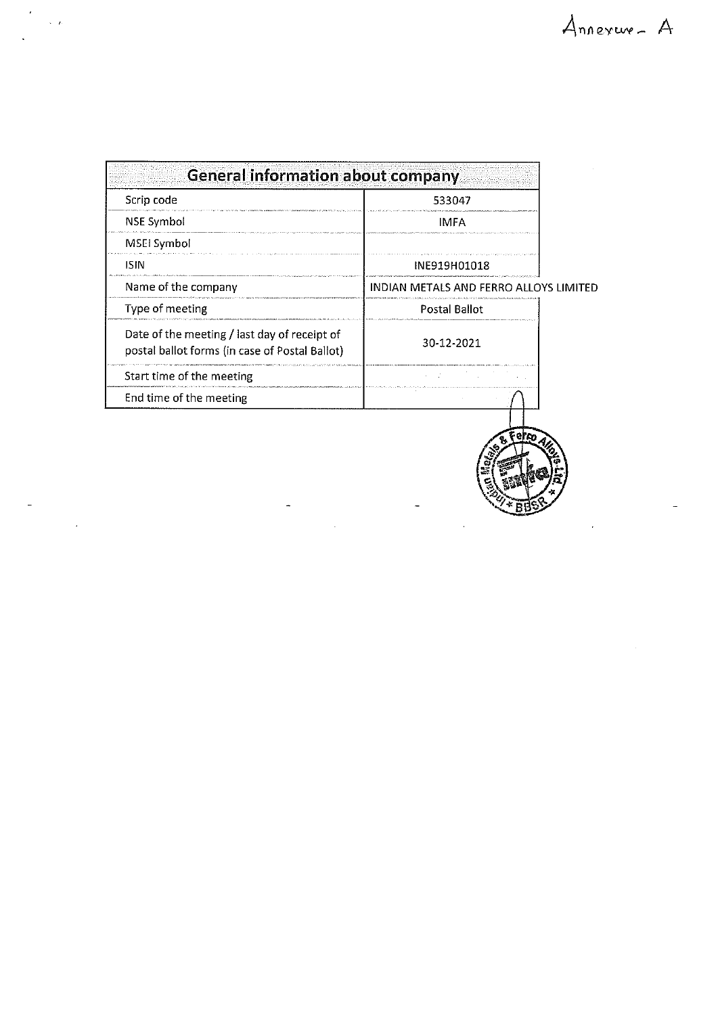| <b>General information about company</b>                                                       |                                        |  |
|------------------------------------------------------------------------------------------------|----------------------------------------|--|
| Scrip code                                                                                     | 533047                                 |  |
| NSE Symbol                                                                                     | IMFA                                   |  |
| MSEI Symbol                                                                                    |                                        |  |
| <b>ISIN</b>                                                                                    | INE919H01018                           |  |
| Name of the company                                                                            | INDIAN METALS AND FERRO ALLOYS LIMITED |  |
| Type of meeting                                                                                | Postal Ballot                          |  |
| Date of the meeting / last day of receipt of<br>postal ballot forms (in case of Postal Ballot) | 30-12-2021                             |  |
| Start time of the meeting                                                                      |                                        |  |
| End time of the meeting                                                                        |                                        |  |

 $\ddot{\phantom{0}}$ 

 $\sqrt{t}$ 

 $\bar{\beta}$ 

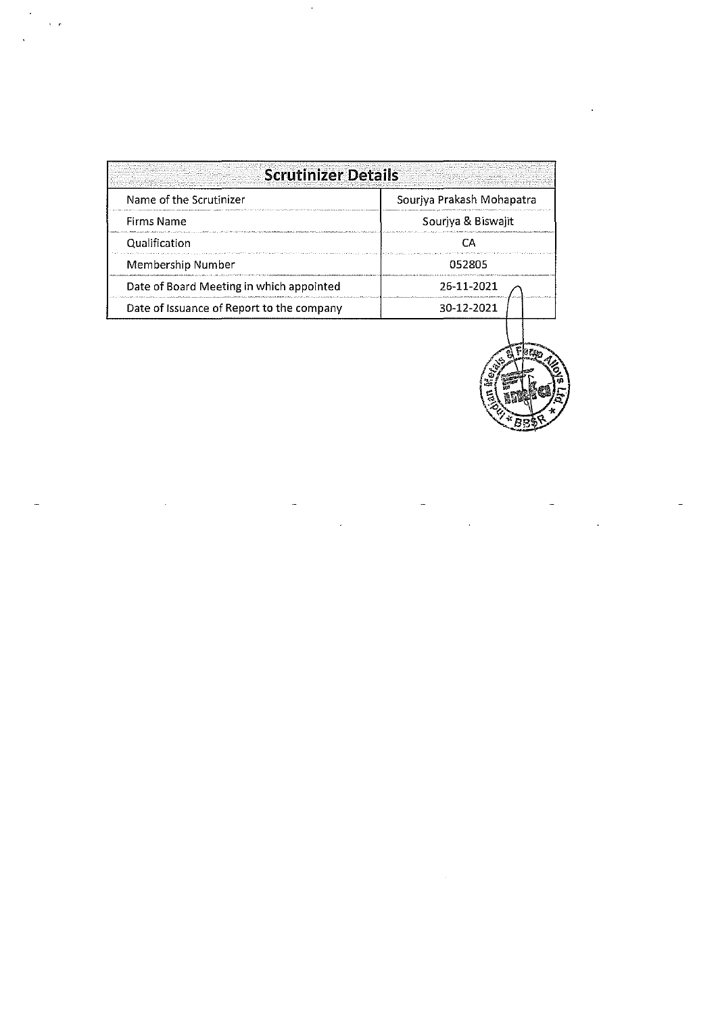| Name of the Scrutinizer                   | Souriya Prakash Mohapatra |
|-------------------------------------------|---------------------------|
| <b>Firms Name</b>                         | Souriya & Biswajit        |
| Qualification                             |                           |
| Membership Number                         | 052805                    |
| Date of Board Meeting in which appointed  | 26-11-2021                |
| Date of Issuance of Report to the company | 30-12-2021                |



 $\label{eq:2.1} \frac{1}{\sqrt{2}}\sum_{i=1}^n\frac{1}{\sqrt{2\pi}}\sum_{i=1}^n\frac{1}{\sqrt{2\pi}}\sum_{i=1}^n\frac{1}{\sqrt{2\pi}}\sum_{i=1}^n\frac{1}{\sqrt{2\pi}}\sum_{i=1}^n\frac{1}{\sqrt{2\pi}}\sum_{i=1}^n\frac{1}{\sqrt{2\pi}}\sum_{i=1}^n\frac{1}{\sqrt{2\pi}}\sum_{i=1}^n\frac{1}{\sqrt{2\pi}}\sum_{i=1}^n\frac{1}{\sqrt{2\pi}}\sum_{i=1}^n\frac{$ 

 $\ddot{\phantom{a}}$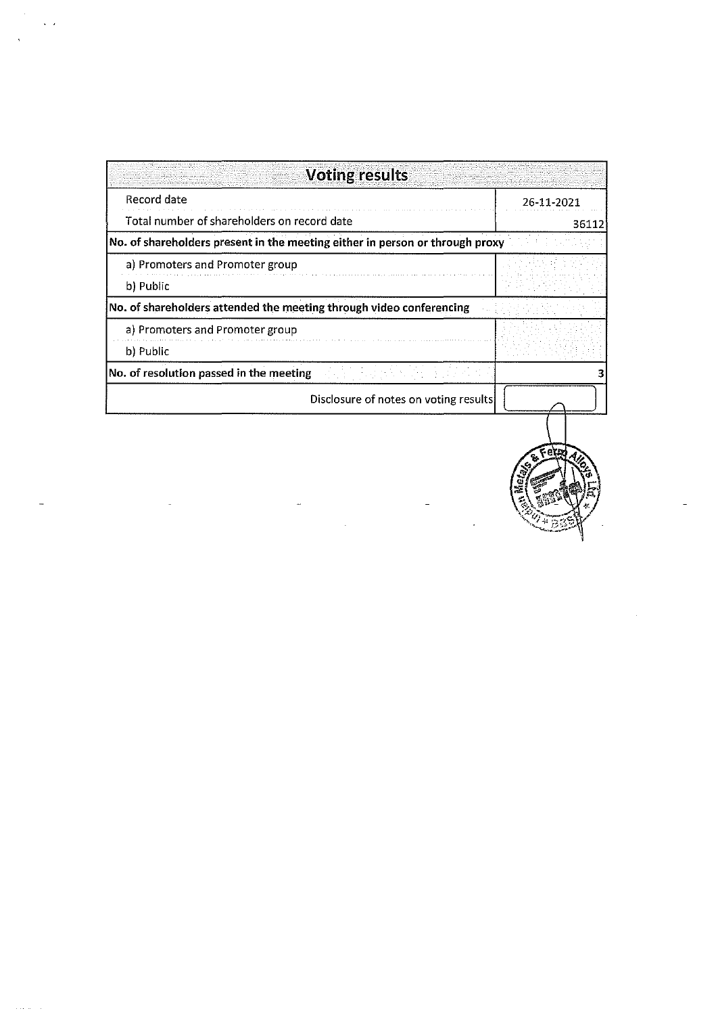| <b>Voting results</b>                                                        |            |
|------------------------------------------------------------------------------|------------|
| Record date                                                                  | 26-11-2021 |
| Total number of shareholders on record date                                  | 36112      |
| No. of shareholders present in the meeting either in person or through proxy |            |
| a) Promoters and Promoter group                                              |            |
| b) Public                                                                    |            |
| No. of shareholders attended the meeting through video conferencing          |            |
| a) Promoters and Promoter group                                              |            |
| b) Public                                                                    |            |
| No. of resolution passed in the meeting                                      |            |
| Disclosure of notes on voting results                                        |            |
|                                                                              |            |

 $\sqrt{2}$ 

 $\frac{1}{\sqrt{2}}\left( \frac{1}{\sqrt{2}}\right) ^{2}+\frac{1}{2}\left( \frac{1}{\sqrt{2}}\right) ^{2}+\frac{1}{2}\left( \frac{1}{\sqrt{2}}\right) ^{2}+\frac{1}{2}\left( \frac{1}{\sqrt{2}}\right) ^{2}+\frac{1}{2}\left( \frac{1}{\sqrt{2}}\right) ^{2}+\frac{1}{2}\left( \frac{1}{\sqrt{2}}\right) ^{2}+\frac{1}{2}\left( \frac{1}{\sqrt{2}}\right) ^{2}+\frac{1}{2}\left( \frac{1}{\sqrt{2}}\right) ^{2}+\frac{1}{2}\left$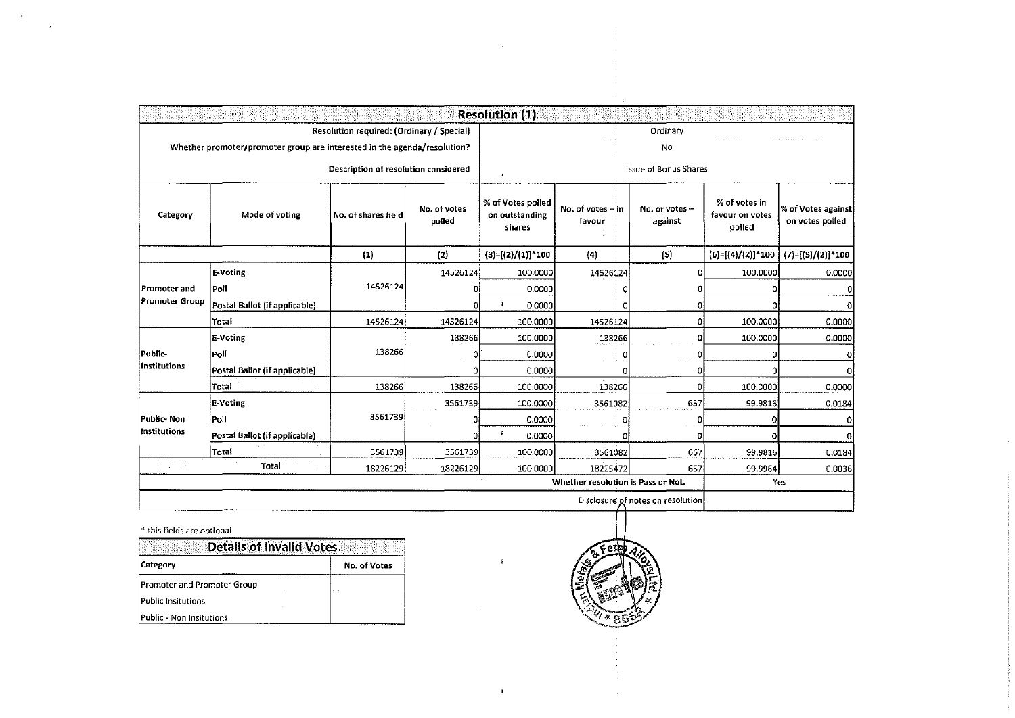|                            |                                                                          |                                                                                   |                        | <b>Resolution (1)</b>                                         |                                    |                                                |                                            |                                       |
|----------------------------|--------------------------------------------------------------------------|-----------------------------------------------------------------------------------|------------------------|---------------------------------------------------------------|------------------------------------|------------------------------------------------|--------------------------------------------|---------------------------------------|
|                            | Whether promoter/promoter group are interested in the agenda/resolution? | Resolution required: (Ordinary / Special)<br>Description of resolution considered |                        |                                                               |                                    | Ordinary<br>No<br><b>Issue of Bonus Shares</b> |                                            |                                       |
| Mode of voting<br>Category |                                                                          | No. of shares held                                                                | No. of votes<br>polled | $\mathbf{A}$<br>% of Votes polled<br>on outstanding<br>shares | No. of votes -- in<br>favour       | No. of votes -<br>against                      | % of votes in<br>favour on votes<br>polled | % of Votes against<br>on votes polled |
|                            |                                                                          | (1)                                                                               | (2)                    | $(3)=[(2)/(1)]*100$                                           | (4)                                | (5)                                            | $(6)=[(4)/(2)]*100$                        | $(7)=[(5)/(2)]*100$                   |
|                            | E-Voting                                                                 |                                                                                   | 14526124               | 100,0000                                                      | 14526124                           | o                                              | 100.0000                                   | 0.0000                                |
| Promoter and               | Poll                                                                     | 14526124                                                                          | ΩI                     | 0.0000                                                        |                                    | 0                                              | o                                          | Ω                                     |
| Promoter Group             | Postal Ballot (if applicable)                                            |                                                                                   | ΩI                     | 0.0000<br>$\mathbf{I}$                                        |                                    | 0                                              | 0                                          | O                                     |
|                            | Total                                                                    | 14526124                                                                          | 14526124               | 100.0000                                                      | 14526124                           | 0                                              | 100.0000                                   | 0.0000                                |
|                            | E-Voting                                                                 |                                                                                   | 138266                 | 100.0000                                                      | 138266                             | 0                                              | 100,0000                                   | 0.0000                                |
| lPublic-                   | Poli                                                                     | 138266                                                                            | ٥                      | 0.0000                                                        | n<br>$\sim$ $\Delta$               | 0                                              | $\sigma$                                   | o                                     |
| Institutions               | Postal Ballot (if applicable)                                            |                                                                                   | ٥                      | 0.0000                                                        | n                                  | o                                              | 0.                                         | οl                                    |
|                            | Total                                                                    | 138266                                                                            | 138266                 | 100.0000                                                      | 138266                             | 0                                              | 100.0000                                   | 0.0000                                |
|                            | E-Voting                                                                 |                                                                                   | 3561739                | 100.0000                                                      | 3561082                            | 657                                            | 99.9816                                    | 0.0184                                |
| Public-Non                 | Poll                                                                     | 3561739                                                                           | Ω                      | 0.0000                                                        |                                    | 0                                              | 0l                                         | 0                                     |
| Institutions               | Postal Ballot (if applicable)                                            |                                                                                   | 0                      | $\mathbf{f}$<br>0.0000                                        |                                    | 0                                              | ol                                         | $\bf{0}$                              |
|                            | Total                                                                    | 3561739                                                                           | 3561739                | 100.0000                                                      | 3561082                            | 657                                            | 99.9816                                    | 0.0184                                |
| 의 비포                       | Total                                                                    | 18226129                                                                          | 18226129               | 100,0000                                                      | 18225472                           | 657                                            | 99.9964                                    | 0.0036                                |
|                            |                                                                          |                                                                                   |                        |                                                               | Whether resolution is Pass or Not. |                                                |                                            | Yes                                   |
|                            | Disclosure of notes on resolution                                        |                                                                                   |                        |                                                               |                                    |                                                |                                            |                                       |

 $\mathbf{1}$ 

 $\langle \Psi \rangle$ 

## \_. this fields are optional

 $\sim 20$ 

 $\bar{z}$ 

| <b>Details of Invalid Votes</b> |              |      |
|---------------------------------|--------------|------|
| <b>Category</b>                 | No. of Votes | Æ    |
| Promoter and Promoter Group     |              | ! 또! |
| Public Insitutions              |              |      |
| Public - Non Insitutions        |              |      |

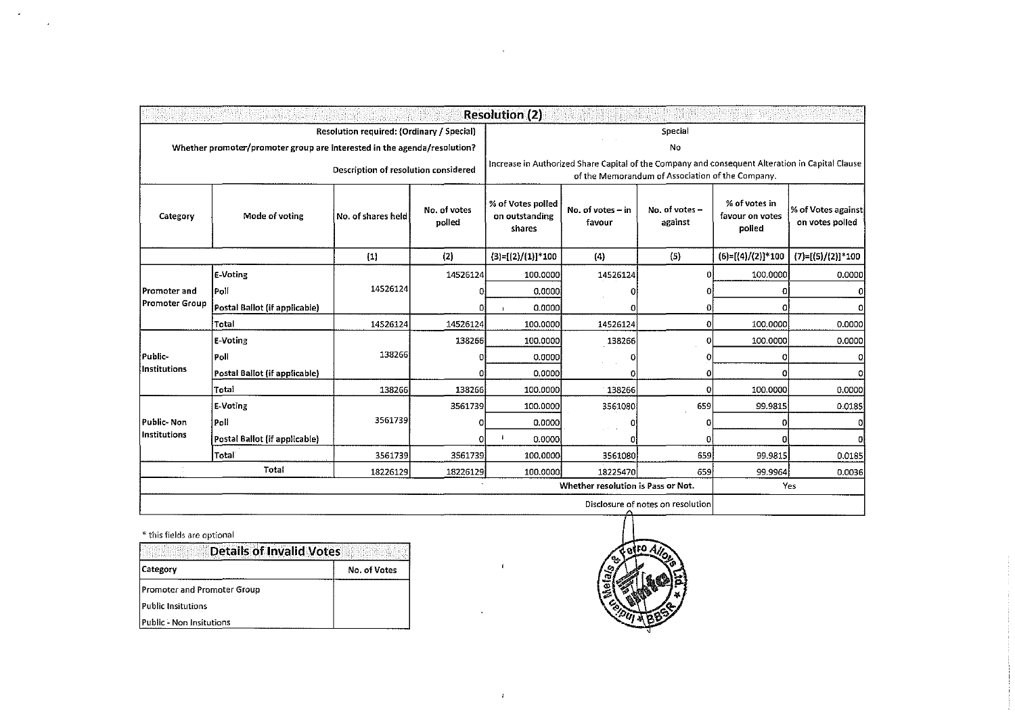|                                      | <b>Resolution (2)</b>                                                    |                                           |                                   |                                               |                                                                                                                                                     |                           |                                            |                                       |  |
|--------------------------------------|--------------------------------------------------------------------------|-------------------------------------------|-----------------------------------|-----------------------------------------------|-----------------------------------------------------------------------------------------------------------------------------------------------------|---------------------------|--------------------------------------------|---------------------------------------|--|
|                                      |                                                                          | Resolution required: (Ordinary / Special) |                                   | Special                                       |                                                                                                                                                     |                           |                                            |                                       |  |
|                                      | Whether promoter/promoter group are interested in the agenda/resolution? |                                           |                                   |                                               |                                                                                                                                                     | No                        |                                            |                                       |  |
| Description of resolution considered |                                                                          |                                           |                                   |                                               | Increase in Authorized Share Capital of the Company and consequent Alteration in Capital Clause<br>of the Memorandum of Association of the Company. |                           |                                            |                                       |  |
| Mode of voting<br>Category           |                                                                          | No. of shares held                        | No. of votes<br>polled            | % of Votes polled<br>on outstanding<br>shares | No. of votes - in<br>favour                                                                                                                         | No. of votes -<br>against | % of votes in<br>favour on votes<br>polled | % of Votes against<br>on votes polled |  |
|                                      |                                                                          | (1)                                       | (2)                               | $(3)=[(2)/(1)]*100$                           | (4)                                                                                                                                                 | (5)                       | $(6)=[(4)/(2)]*100$                        | $(7)=[(5)/(2)]*100$                   |  |
|                                      | E-Voting                                                                 |                                           | 14526124                          | 100,0000                                      | 14526124                                                                                                                                            | o                         | 100.0000                                   | 0.0000                                |  |
| Promoter and                         | Poll                                                                     | 14526124                                  | O.                                | 0.0000                                        |                                                                                                                                                     |                           | Ð                                          | <sub>0</sub>                          |  |
| Promoter Group                       | Postal Ballot (if applicable)                                            |                                           | ΟΙ                                | 0.0000                                        |                                                                                                                                                     |                           |                                            | $\Omega$                              |  |
|                                      | Total                                                                    | 14526124                                  | 14526124                          | 100.0000                                      | 14526124                                                                                                                                            | 0                         | 100,0000                                   | 0.0000                                |  |
|                                      | E-Voting                                                                 |                                           | 138266                            | 100.0000                                      | 138266                                                                                                                                              | o                         | 100.0000                                   | 0.0000                                |  |
| Public-                              | l Poll                                                                   | 138266                                    | Ð                                 | 0.0000                                        |                                                                                                                                                     |                           |                                            | Ω                                     |  |
| Institutions                         | Postal Ballot (if applicable)                                            |                                           |                                   | 0.0000                                        |                                                                                                                                                     | 0                         |                                            | Ω                                     |  |
|                                      | Total                                                                    | 138266                                    | 138266                            | 100.0000                                      | 138266                                                                                                                                              | Ω                         | 100.0000                                   | 0.0000                                |  |
|                                      | E-Voting                                                                 |                                           | 3561739                           | 100.0000                                      | 3561080                                                                                                                                             | 659                       | 99.9815                                    | 0.0185                                |  |
| Public- Non                          | Poll                                                                     | 3561739                                   | o                                 | 0.0000                                        |                                                                                                                                                     |                           | n                                          | o                                     |  |
| Institutions                         | Postal Ballot (if applicable)                                            |                                           | οı                                | 0.0000                                        |                                                                                                                                                     | o                         |                                            | o                                     |  |
|                                      | <b>Total</b>                                                             | 3561739                                   | 3561739                           | 100,0000                                      | 3561080                                                                                                                                             | 659                       | 99.9815                                    | 0.0185                                |  |
|                                      | Total                                                                    | 18226129                                  | 18226129                          | 100.0000                                      | 18225470                                                                                                                                            | 659                       | 99.9964                                    | 0.0036                                |  |
|                                      |                                                                          |                                           |                                   |                                               | Whether resolution is Pass or Not.                                                                                                                  |                           |                                            | Yes                                   |  |
|                                      |                                                                          |                                           | Disclosure of notes on resolution |                                               |                                                                                                                                                     |                           |                                            |                                       |  |

 $\mathbf{r}$ 

 $\Delta^2$ 

\*this fields are optional

 $\sim 10^{11}$ 

 $\bar{z}$ 

| <b>Details of Invalid Votes</b> |              |      |
|---------------------------------|--------------|------|
| Category                        | No. of Votes |      |
| Promoter and Promoter Group     |              | - 57 |
| Public Insitutions              |              |      |
| Public - Non Insitutions        |              |      |

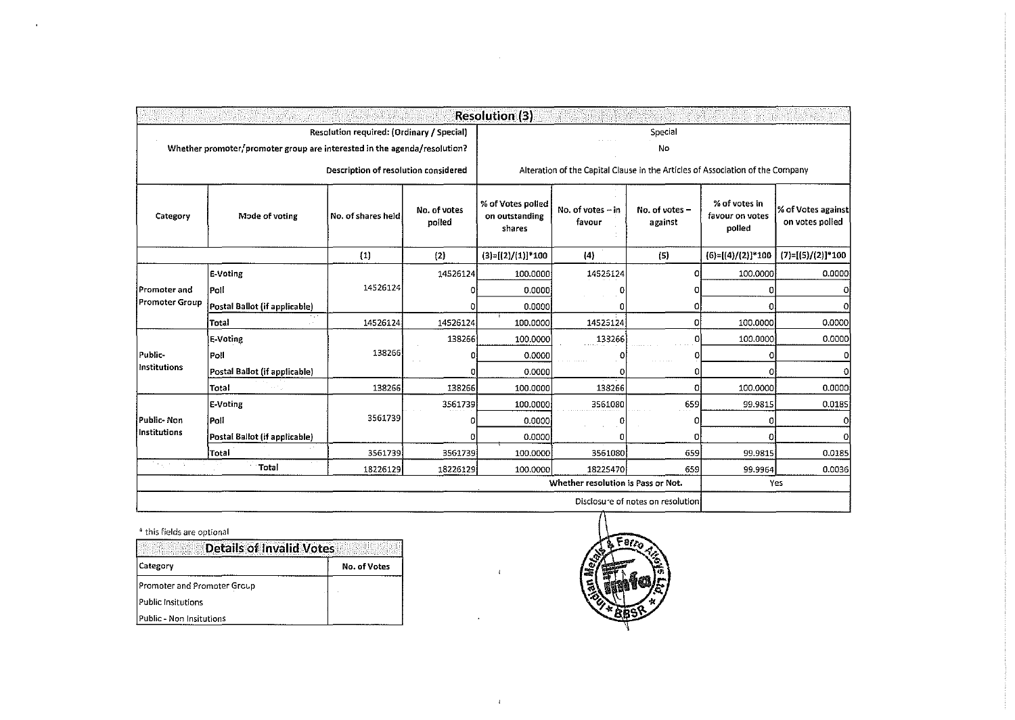| <b>Resolution (3)</b> |                                                                           |                                           |                        |                                               |                                                                                |                           |                                            |                                       |  |
|-----------------------|---------------------------------------------------------------------------|-------------------------------------------|------------------------|-----------------------------------------------|--------------------------------------------------------------------------------|---------------------------|--------------------------------------------|---------------------------------------|--|
|                       |                                                                           | Resolution required: (Ordinary / Special) |                        | Special                                       |                                                                                |                           |                                            |                                       |  |
|                       | Whether promoter, promoter group are interested in the agenda/resolution? |                                           |                        | No                                            |                                                                                |                           |                                            |                                       |  |
|                       |                                                                           | Description of resolution considered      |                        |                                               | Alteration of the Capital Clause in the Articles of Association of the Company |                           |                                            |                                       |  |
| Category              | Mode of voting                                                            | No. of shares held                        | No. of votes<br>poiled | % of Votes polled<br>on outstanding<br>shares | No. of votes - in<br>favour                                                    | No. of votes -<br>against | % of votes in<br>favour on votes<br>polled | % of Votes against<br>on votes polled |  |
|                       |                                                                           | (1)                                       | (2)                    | $(3)=[(2)/(1)]*100$                           | $\{4\}$                                                                        | (5)                       | $(6)=[(4)/(2)]*100$                        | $(7)=[(5)/(2)]*100$                   |  |
|                       | E-Voting                                                                  |                                           | 14526124               | 100,0000                                      | 14525124                                                                       | o                         | 100,0000                                   | 0.0000                                |  |
| Promoter and          | Poll                                                                      | 14526124                                  | $\Omega$               | 0.0000                                        |                                                                                | o                         | n                                          | o                                     |  |
| Promoter Group        | Postal Ballot (if applicable)                                             |                                           | 0                      | 0.0000                                        |                                                                                | 0                         | ſ                                          | 0                                     |  |
|                       | Total                                                                     | 14526124                                  | 14526124               | 100.0000                                      | 14525124                                                                       | 0                         | 100,0000                                   | 0.0000                                |  |
|                       | E-Voting                                                                  |                                           | 138266                 | 100.0000                                      | 133266                                                                         | 0                         | 100,0000                                   | 0.0000                                |  |
| Public-               | Poll                                                                      | 138266                                    | n                      | 0.0000                                        |                                                                                | Ω                         | o                                          | 0                                     |  |
| l Institutions        | Postal Ballot (if applicable)                                             |                                           | Οl                     | 0.0000                                        |                                                                                | n                         | O.                                         | $\mathbf 0$                           |  |
|                       | Total                                                                     | 138266                                    | 138266                 | 100,0000                                      | 138266                                                                         | o                         | 100.0000                                   | 0.0000                                |  |
|                       | E-Voting                                                                  |                                           | 3561739                | 100.0000                                      | 3561080                                                                        | 659                       | 99.9815                                    | 0.0185                                |  |
| Public- Non           | Poli                                                                      | 3561739                                   | Ω                      | 0.0000                                        | Ω                                                                              | 0                         |                                            | 0                                     |  |
| Institutions          | Postal Ballot (if applicable)                                             |                                           | Ω                      | 0.0000                                        |                                                                                | 0                         |                                            | 0                                     |  |
|                       | Total                                                                     | 3561739                                   | 3561739                | 100.0000                                      | 3561080                                                                        | 659                       | 99.9815                                    | 0.0185                                |  |
| Teacher and           | Total                                                                     | 18226129                                  | 18226129               | 100.0000                                      | 18225470                                                                       | 659                       | 99.9964                                    | 0.0036                                |  |
|                       |                                                                           |                                           |                        |                                               | Whether resolution is Pass or Not.                                             |                           |                                            | Yes                                   |  |
|                       | Disclosure of notes on resolution                                         |                                           |                        |                                               |                                                                                |                           |                                            |                                       |  |

 $\mathfrak{t}^{\pm}$ 

 $\sim$ 

## " this fields are optional

 $\mathcal{A}$ 

| <b>Details of Invalid Votes</b> |              |  |
|---------------------------------|--------------|--|
| <b>Category</b>                 | No. of Votes |  |
| Promoter and Promoter Group     |              |  |
| Public Insitutions              |              |  |
| Public - Non Insitutions        |              |  |

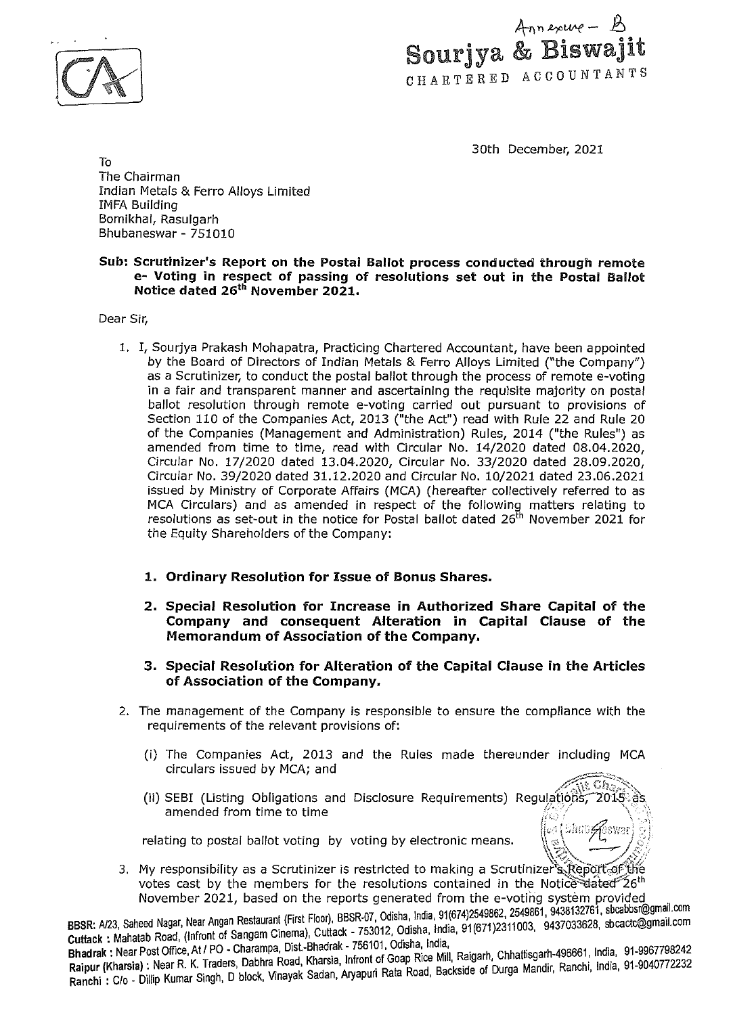



30th December, 2021

To The Chairman Indian Metals & Ferro Alloys Limited IMFA Building Bomikhal, Rasulgarh Bhubaneswar - 751010

# Sub: Scrutinizer's Report on the Postal Ballot process conducted through remote e- Voting in respect of passing of resolutions set out in the Postal Ballot Notice dated 25th November 2021.

Dear Sir,

- 1. I, Sourjya Prakash Mohapatra, Practicing Chartered Accountant, have been appointed by the Board of Directors of Indian Metals & Ferro Alloys Limited ("the Company") as a Scrutinizer, to conduct the postal ballot through the process of remote e-voting in a fair and transparent manner and ascertaining the requisite majority on postal ballot resolution through remote e-voting carried out pursuant to provisions of Section 110 of the Companies Act, 2013 ("the Act") read with Rule 22 and Rule 20 of the Companies (Management and Administration) Rules, 2014 ("the Rules") as amended from time to time, read with Circular No. 14/2020 dated 08.04.2020, Circular No. 17/2020 dated 13.04.2020, Circular No. 33/2020 dated 28.09.2020, Circular No. 39/2020 dated 31.12.2020 and Circular No. 10/2021 dated 23.06.2021 issued by Ministry of Corporate Affairs (MCA) (hereafter collectively referred to as MCA Circulars) and as amended in respect of the following matters relating to resolutions as set-out in the notice for Postal ballot dated  $26<sup>th</sup>$  November 2021 for the Equity Shareholders of the Company:
	- 1. Ordinary Resolution for Issue of Bonus Shares.
	- 2. Special Resolution for Increase in Authorized Share Capital of the Company and consequent Alteration in Capital Clause of the Memorandum of Association of the Company.
	- 3. Special Resolution for Alteration of the Capital Clause in the Articles of Association of the Company.
- 2. The management of the Company is responsible to ensure the compliance with the requirements of the relevant provisions of:
	- (i) The Companies Act, 2013 and the Rules made thereunder including MCA circulars issued by MCA; and
	- $\sqrt{\det\mathrm{Gr}_{\partial\rho}}$ ii) SEBI (Listing Obligations and Disclosure Requirements) Regulations, 2015<br>amended from time to time fire first and the first annul and the first and the first annul and the m  $\sqrt{\frac{1}{2} \pi}$  shro $\mathscr{G}$ swar

relating to postal ballot voting by voting by electronic means.

 $|\mathbb{Z}\rangle = \sqrt{\mathbb{Z}}$ 3. My responsibility as a Scrutinizer is restricted to making a Scrutinizer s.Report.of the votes cast by the members for the resolutions contained in the Notice dated  $26<sup>th</sup>$ November 2021, based on the reports generated from the e-voting system provided .

BBSR: A/23, Saheed Nagar, Near Angan Restaurant (First Floor), BBSR-07, Odisha, India, 91(674)2549862, 2549861, 9438132761, sbcabbsr@gmail.com Cuttack : Mahatab Road, (Infront of Sangam Cinema), Cuttack - 753012, Odisha, India, 91(671)2311003, 9437033628, sbcactc@gmail.com<br>Bhadrak : Near Post Office, At / PO - Charampa, Dist.-Bhadrak - 756101, Odisha, India,

butabh : Manates Worrice, At / PO - Charampa, Dist-Bhadrak - 756101, Odisha, India,<br>Bhadrak : Near Post Office, At / PO - Charampa, Dist-Bhadrak - 756101, Odisha, India, Chhattisgarh-496661, India, 91-9967798242 Raipur (Kharsia) : Near R. K. Traders, Dabhra Road, Khalsia, Innon o Road Backside of Durga Mandir, Ranchi, India, 91-9040772232 Ranchi : C/o - Dillip Kumar Singh, D block, Vinayak Sadan, Aryapuri Rata Road, Backside of Durga Mandir, Ranchi, India, 91-9040772232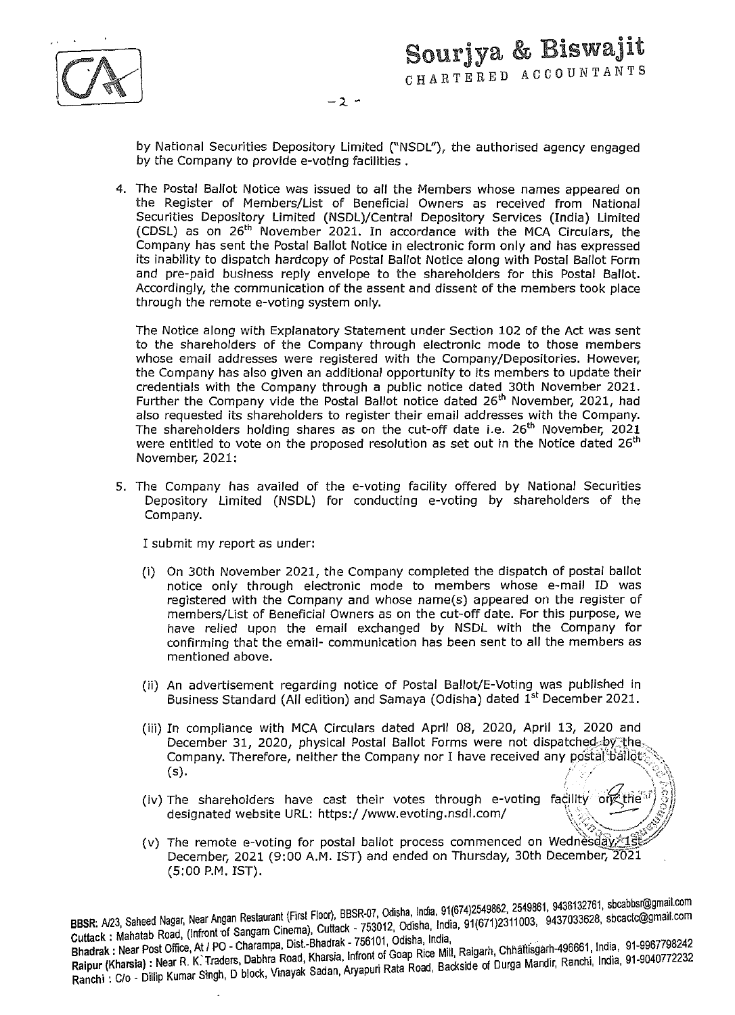

 $-2$  -

by National Securities Depository Limited ("NSDL"), the authorised agency engaged by the Company to provide e-voting facilities .

4. The Postal Ballot Notice was issued to all the Members whose names appeared on the Register of Members/List of Beneficial Owners as received from National Securities Depository Limited (NSDL)/Central Depository Services (India} Limited (CDSL) as on 25th November 2021. In accordance with the MCA Circulars, the Company has sent the Postal Ballot Notice in electronic form only and has expressed its inability to dispatch hardcopy of Postal Ballot Notice along with Postal Ballot Form and pre-paid business reply envelope to the shareholders for this Postal Ballot. Accordingly, the communication of the assent and dissent of the members took place through the remote e-voting system only.

The Notice along with Explanatory Statement under Section 102 of the Act was sent to the shareholders of the Company through electronic mode to those members whose email addresses were registered with the Company/Depositories. However, the Company has also given an additional opportunity to its members to update their credentials with the Company through a public notice dated 30th November 2021. Further the Company vide the Postal Ballot notice dated 26<sup>th</sup> November, 2021, had also requested its shareholders to register their email addresses with the Company. The shareholders holding shares as on the cut-off date i.e.  $26^{th}$  November,  $2021$ were entitled to vote on the proposed resolution as set out in the Notice dated 26<sup>th</sup> November, 2021:

5. The Company has availed of the e-voting facility offered by National Securities Depository Limited (NSDL} for conducting e-voting by shareholders of the Company.

I submit my report as under:

- (i} On 30th November 2021, the Company completed the dispatch of postal ballot notice only through electronic mode to members whose e-mail ID was registered with the Company and whose name(s} appeared on the register of members/List of Beneficial Owners as on the cut-off date. For this purpose, we have relied upon the email exchanged by NSDL with the Company for confirming that the email- communication has been sent to all the members as mentioned above.
- (ii) An advertisement regarding notice of Postal Ballot/E-Voting was published in Business Standard (All edition) and Samaya (Odisha) dated 1<sup>st</sup> December 2021.
- (iii) In compliance with MCA Circulars dated April 08, 2020, April 13, 2020 and December 31, 2020, physical Postal Ballot Forms were not dispatched, by the Company. Therefore, neither the Company nor I have received any postal ballot. (s).  $\mathbb{R}^n$  ,  $\mathbb{R}^n$  ,  $\mathbb{R}^n$  ,  $\mathbb{R}^n$  ,  $\mathbb{R}^n$
- (iv) The shareholders have cast their votes through e-voting facility on the designated website URL: https://www.evoting.nsdl.com/
- (v) The remote e-voting for postal ballot process commenced on Wednesday.  $18$ December, 2021 (9:00 A.M. !ST) and ended on Thursday, 30th December, 2021 (5:00 P.M. IST).

. dia 91(674)2549862, 2549861, 9438132761, sbcabbsr@gmail.com **BBSR:** N23, Saheed Nagar, Near Angan Restaurant (First Floor), BBSR-070~~1s~~.1~ 'India 91(671)2311003, 9437033628, sbcactc@gmail.com Cuttack : Mahatab Road, (Infront of Sangam Cinema), Cuttack - 753012, Odisha, India, 91(671)2311003, 9437033628, sbcactc@gmail.com<br>Bhadrak : Near Post Office, At / PO - Charampa, Dist.-Bhadrak - 756101, Odisha, India, Phadrak.: Near Post Office, At I PO - Charampa, Dist.-Bhadrak - i coluir, Ogan Disp. Mill Raigarh Chhaitlisgarh-496661, India, 91-9967/98242

Raipur (Kharsia): Near R. K:Traders, Dabhra Road, Khars1a, In ron o R ~a~ ad Ba~side of Ourga Mandir, Ranchi, India, 91-9040772232 Ranchi : C/o - Dillip Kumar Singh, D block, Vinayak Sadan, Aryapuri Rata Road, Backside of Durga Mandir, Ranchi, India, 91-9040772232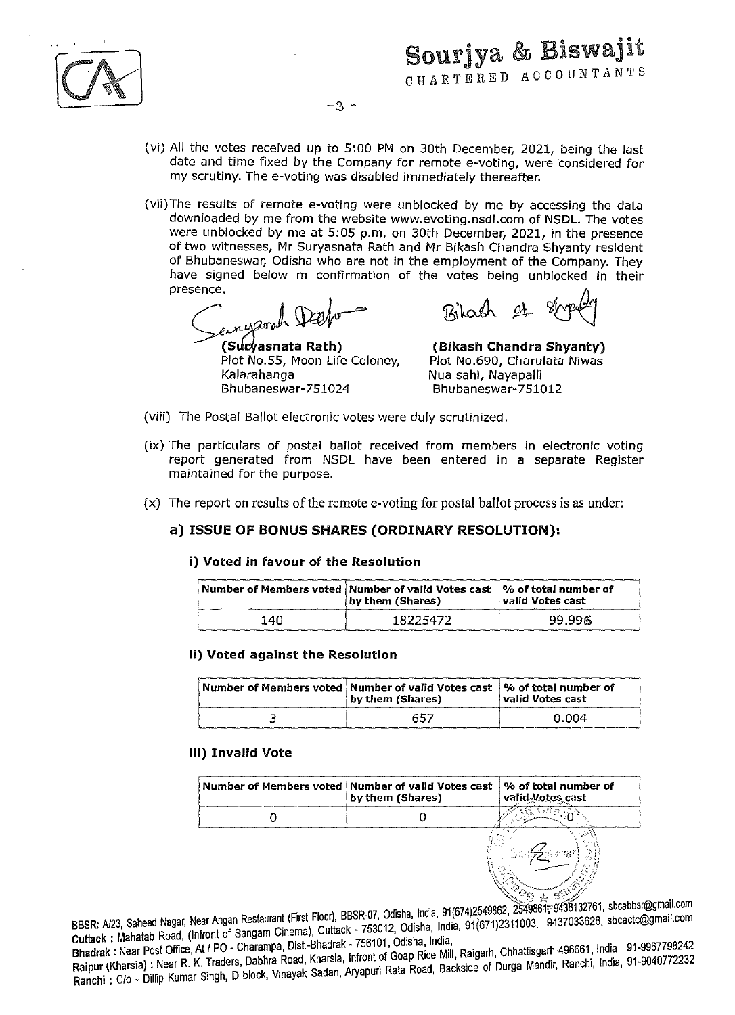(vi) All the *votes received* up to S:OO PM on 30th December, 2021, being the last date and time fixed by the Company for remote e-voting, were considered for my scrutiny. The *e-voting* was disabled immediately thereafter.

-3 -

(vii)The results of remote *e-voting* were unblocked by me by accessing the data downloaded by me from the website www.evoting.nsdl.com of NSDL. The *votes*  were unblocked by me at S:OS p.m. on 30th December, 2021, in the presence of two witnesses, Mr Suryasnata Rath and Mr Bikash Chandra Shyanty resident of Bhubaneswar, Odisha who are not in the employment of the Company. They have signed below m confirmation of the votes being unblocked in their presence.

*C ....* a«Vl~ ~Zfa~-nata Rath)

Plot No.SS, Moon Life Coloney, Kalarahanga Bhubaneswar-7S1024

Bilash et

(Bikash Chandra Shyanty) Plot No.690, Charulata Niwas Nua sahl, Nayapal/i Bhubaneswar-7Sl012

 $\sqrt{2\sigma_{\rm SN}}$  so  $\sim$ 

- (viii) The Postal Ballot electronic votes were duly scrutinized.
- (ix) The particulars of postal ballot *received* from members in electronic voting report generated from NSDL have been entered in a separate Register maintained for the purpose.
- (x) The report on results of the remote e-voting for postal ballot process is as under:

# a) ISSUE OF BONUS SHARES (ORDINARY RESOLUTION):

## i) Voted in favour of the Resolution

|      | Number of Members voted   Number of valid Votes cast   % of total number of<br>by them (Shares) | valid Votes cast |
|------|-------------------------------------------------------------------------------------------------|------------------|
| 140. | 18225472                                                                                        | 99.996           |

# ii) Voted against the Resolution

|   | $ \,$ Number of Members voted $ \,$ Number of valid Votes cast $ \,$ % of total number of<br>by them (Shares) | valid Votes cast |
|---|---------------------------------------------------------------------------------------------------------------|------------------|
| w | 657                                                                                                           | 0.004            |

# iii) Invalid Vote

| Number of Members voted   Number of valid Votes cast   % of total number of<br>by them (Shares) | valid Votes cast |
|-------------------------------------------------------------------------------------------------|------------------|
|                                                                                                 |                  |
|                                                                                                 |                  |

. - Clash, PRSP 07, Odisha India, 91(674)2549862, 2549861; 9438132761, sbcabbsr@gmail.com BBSR: N23, Saheed Nagar, Near Angan Restaurant (First Floor), BBSR 07, Od. h India 91(671)2311003, 9437033628, sbcactc@gmail.com Cuttack : Mahatab Road, (Infront of Sangam Cinema), Cuttack - 753012, Odisha, India, 91(671)2311003, 9437033628, sbcactc@gmail.com<br>Bhadrak : Near Post Office, At / PO - Charampa, Dist.-Bhadrak - 756101, Odisha, India,

Bhadrak: Near Post Office, At I PO - Charampa, Dist-Bhadrak; ; ; ; ; ; ; ; ; ; ; ; ; mill Raigarh, Chhattisgarh-496661, India, 91-9967798242 Raipur (Kharsia): Near R. K. Traders, Dabhra Road, Kharsia, Illium of Data Badkside of Durga Mandir, Ranchi, India, 91-9040772232 Ranchi : C/o - Dillip Kumar Singh, D block, Vinayak Sadan, Aryapuri Rata Road, Backside of Durga Mandir, Ranchi, India, 91-9040772232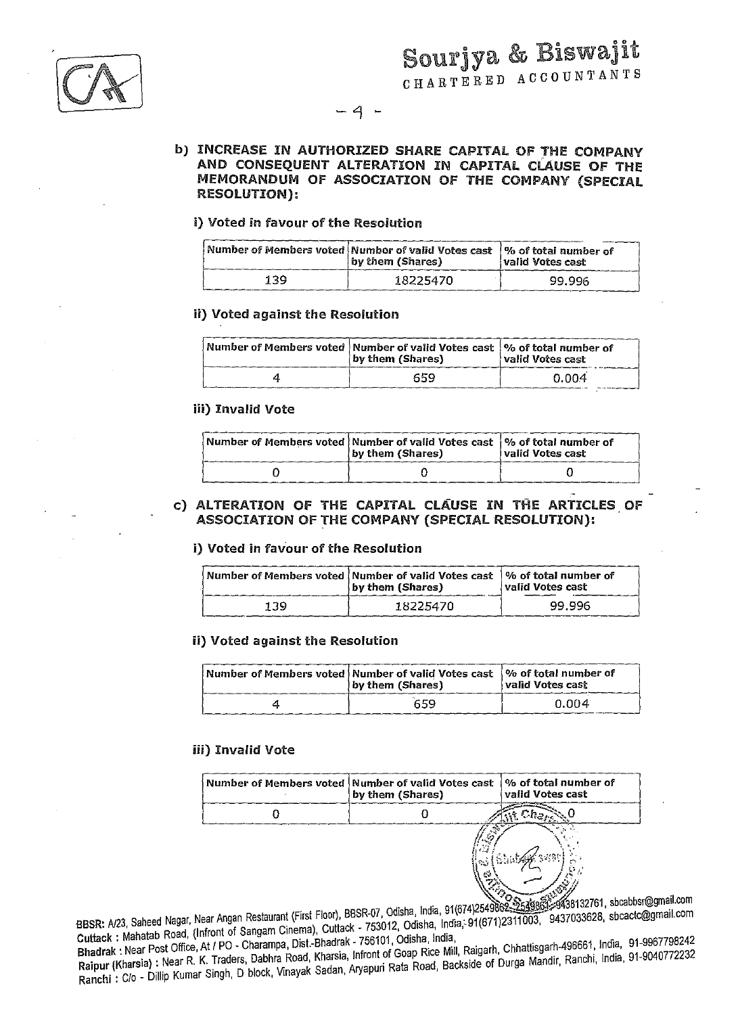$-4 -$ 

# b) INCREASE IN AUTHORIZED SHARE CAPITAL OF THE COMPANY AND CONSEQUENT ALTERATION IN CAPITAL CLAUSE OF THE MEMORANDUM OF ASSOCIATION OF THE COMPANY (SPECIAL RESOLUTION):

| i) Voted in favour of the Resolution |                                                                        |                                                   |
|--------------------------------------|------------------------------------------------------------------------|---------------------------------------------------|
|                                      | Number of Members voted Numbor of valid Votes cast<br>by them (Shares) | $\sqrt{2}$ of total number of<br>valid Votes cast |
| 139                                  | 18225470                                                               | 99.996                                            |

## ii} Voted against the Resolution

| Number of Members voted Number of valid Votes cast  % of total number of<br>by them (Shares) | valid Votes cast |
|----------------------------------------------------------------------------------------------|------------------|
| 659                                                                                          | 0.004            |

## iii) Invalid Vote

| $\mid$ Number of Members voted $\mid$ Number of valid Votes cast $\mid$ % of total number of<br>by them (Shares) | valid Votes cast |
|------------------------------------------------------------------------------------------------------------------|------------------|
|                                                                                                                  |                  |

# c) ALTERATION OF THE CAPITAL CLAUSE IN THE ARTICLES OF ASSOCIATION OF THE COMPANY (SPECIAL RESOLUTION):

# i} Voted in favour of the Resolution

|     | Number of Members voted   Number of valid Votes cast   % of total number of<br>(by them (Shares) | valid Votes cast |
|-----|--------------------------------------------------------------------------------------------------|------------------|
| 139 | 18225470                                                                                         | 99.996           |

# ii) Voted against the Resolution

| Number of Members voted   Number of valid Votes cast   % of total number of<br>by them (Shares) | valid Votes cast |
|-------------------------------------------------------------------------------------------------|------------------|
| 659                                                                                             | 0.004            |

## iii) Invalid Vote

| Number of Members voted   Number of valid Votes cast<br>by them (Shares) | ∣% of total number of<br>valid Votes cast |
|--------------------------------------------------------------------------|-------------------------------------------|
|                                                                          |                                           |
| 72.7<br>e.,                                                              | $\sigma$                                  |

BBSR: A/23, Saheed Nagar, Near Angan Restaurant (First Floor), BBSR-07, Odisha, India, 91(674)2549862, \$349862, \$438132761, sbcabbsr@gmail.com<br>BBSR: A/23, Saheed Nagar, Near Angan Restaurant (First Floor), BBSR-07, Odisha, BBSR: A/23, Saheed Nagar, Near Angan Restaurant (First Floor), BBSR-07, Odisha, India, 91(674)2549862, 2549863, 29436132101, socabostegenall.com<br>Cuttack: Mahatab Road, (Infront of Sangam Cinema), Cuttack - 753012, Odisha,

Cuttack: Mahatab Road, (Infront of Sangam Cilienia), Cuttack: 199911, Odisha, India,<br>Bhadrak: Near Post Office, At / PO - Charampa, Dist.-Bhadrak - 756101, Odisha, India, Cuttack: Mahatab Road, (Innoni of Sangam Onches), Senator 256101, Odisha, India,<br>Bhadrak: Near Post Office, At / PO - Charampa, Dist.-Bhadrak - 756101, Odisha, India, Raigarh, Chhattisgarh-496661, India, 91-9967798242<br>Raip Bhadrak : Near Post Office, At 7 PO - Charanipa, Bist. Bhadram Microsoft Goap Rice Mill, Raigarh, Chhattisgarn-496661, India, St. 8881, 2014<br>Raipur (Kharsia) : Near R. K. Traders, Dabhra Road, Kharsia, Infront of Goap Rice